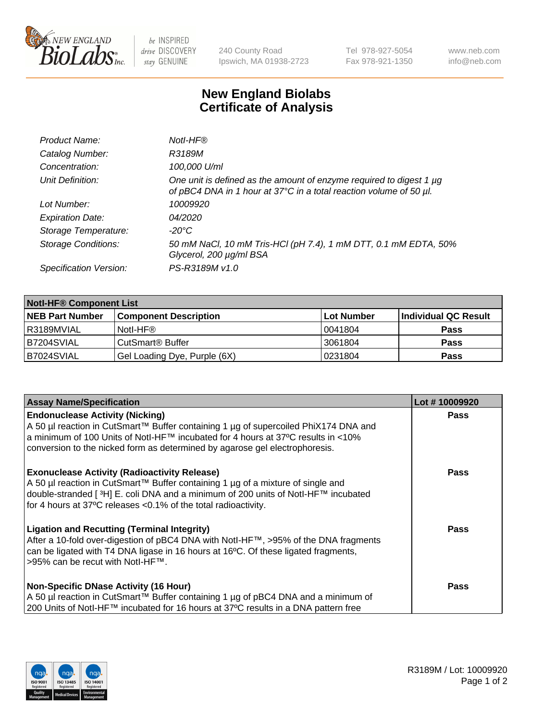

be INSPIRED drive DISCOVERY stay GENUINE

240 County Road Ipswich, MA 01938-2723 Tel 978-927-5054 Fax 978-921-1350 www.neb.com info@neb.com

## **New England Biolabs Certificate of Analysis**

| Product Name:              | Notl-HF®                                                                                                                                  |
|----------------------------|-------------------------------------------------------------------------------------------------------------------------------------------|
| Catalog Number:            | R3189M                                                                                                                                    |
| Concentration:             | 100,000 U/ml                                                                                                                              |
| Unit Definition:           | One unit is defined as the amount of enzyme required to digest 1 µg<br>of pBC4 DNA in 1 hour at 37°C in a total reaction volume of 50 µl. |
| Lot Number:                | 10009920                                                                                                                                  |
| <b>Expiration Date:</b>    | 04/2020                                                                                                                                   |
| Storage Temperature:       | -20°C                                                                                                                                     |
| <b>Storage Conditions:</b> | 50 mM NaCl, 10 mM Tris-HCl (pH 7.4), 1 mM DTT, 0.1 mM EDTA, 50%<br>Glycerol, 200 µg/ml BSA                                                |
| Specification Version:     | PS-R3189M v1.0                                                                                                                            |

| <b>Notl-HF® Component List</b> |                              |            |                      |  |  |
|--------------------------------|------------------------------|------------|----------------------|--|--|
| <b>NEB Part Number</b>         | <b>Component Description</b> | Lot Number | Individual QC Result |  |  |
| I R3189MVIAL                   | Notl-HF®                     | 10041804   | <b>Pass</b>          |  |  |
| B7204SVIAL                     | CutSmart <sup>®</sup> Buffer | 3061804    | <b>Pass</b>          |  |  |
| B7024SVIAL                     | Gel Loading Dye, Purple (6X) | 0231804    | <b>Pass</b>          |  |  |

| <b>Assay Name/Specification</b>                                                                                                                                                                                                                                                                            | Lot #10009920 |
|------------------------------------------------------------------------------------------------------------------------------------------------------------------------------------------------------------------------------------------------------------------------------------------------------------|---------------|
| <b>Endonuclease Activity (Nicking)</b><br>  A 50 µl reaction in CutSmart™ Buffer containing 1 µg of supercoiled PhiX174 DNA and                                                                                                                                                                            | <b>Pass</b>   |
| a minimum of 100 Units of Notl-HF™ incubated for 4 hours at 37°C results in <10%<br>conversion to the nicked form as determined by agarose gel electrophoresis.                                                                                                                                            |               |
| <b>Exonuclease Activity (Radioactivity Release)</b><br>A 50 µl reaction in CutSmart™ Buffer containing 1 µg of a mixture of single and<br>double-stranded [ <sup>3</sup> H] E. coli DNA and a minimum of 200 units of Notl-HF™ incubated<br>for 4 hours at 37°C releases <0.1% of the total radioactivity. | <b>Pass</b>   |
| <b>Ligation and Recutting (Terminal Integrity)</b><br>After a 10-fold over-digestion of pBC4 DNA with Notl-HF™, >95% of the DNA fragments<br>can be ligated with T4 DNA ligase in 16 hours at 16 $\degree$ C. Of these ligated fragments,<br> >95% can be recut with NotI-HF™.                             | <b>Pass</b>   |
| Non-Specific DNase Activity (16 Hour)                                                                                                                                                                                                                                                                      | <b>Pass</b>   |
| A 50 µl reaction in CutSmart™ Buffer containing 1 µg of pBC4 DNA and a minimum of<br>200 Units of Notl-HF™ incubated for 16 hours at 37°C results in a DNA pattern free                                                                                                                                    |               |